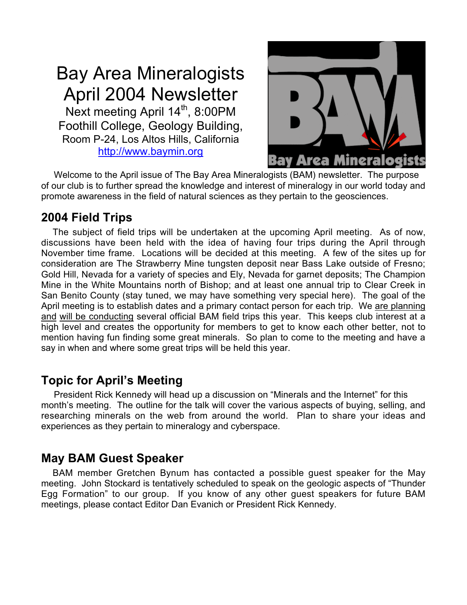# Bay Area Mineralogists April 2004 Newsletter

Next meeting April 14<sup>th</sup>, 8:00PM Foothill College, Geology Building, Room P-24, Los Altos Hills, California http://www.baymin.org



 Welcome to the April issue of The Bay Area Mineralogists (BAM) newsletter. The purpose of our club is to further spread the knowledge and interest of mineralogy in our world today and promote awareness in the field of natural sciences as they pertain to the geosciences.

# **2004 Field Trips**

 The subject of field trips will be undertaken at the upcoming April meeting. As of now, discussions have been held with the idea of having four trips during the April through November time frame. Locations will be decided at this meeting. A few of the sites up for consideration are The Strawberry Mine tungsten deposit near Bass Lake outside of Fresno; Gold Hill, Nevada for a variety of species and Ely, Nevada for garnet deposits; The Champion Mine in the White Mountains north of Bishop; and at least one annual trip to Clear Creek in San Benito County (stay tuned, we may have something very special here). The goal of the April meeting is to establish dates and a primary contact person for each trip. We are planning and will be conducting several official BAM field trips this year. This keeps club interest at a high level and creates the opportunity for members to get to know each other better, not to mention having fun finding some great minerals. So plan to come to the meeting and have a say in when and where some great trips will be held this year.

# **Topic for April's Meeting**

 President Rick Kennedy will head up a discussion on "Minerals and the Internet" for this month's meeting. The outline for the talk will cover the various aspects of buying, selling, and researching minerals on the web from around the world. Plan to share your ideas and experiences as they pertain to mineralogy and cyberspace.

# **May BAM Guest Speaker**

 BAM member Gretchen Bynum has contacted a possible guest speaker for the May meeting. John Stockard is tentatively scheduled to speak on the geologic aspects of "Thunder Egg Formation" to our group. If you know of any other guest speakers for future BAM meetings, please contact Editor Dan Evanich or President Rick Kennedy.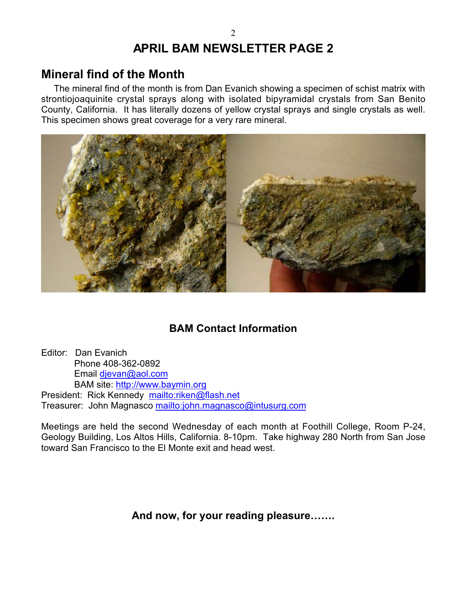# **APRIL BAM NEWSLETTER PAGE 2**

## **Mineral find of the Month**

 The mineral find of the month is from Dan Evanich showing a specimen of schist matrix with strontiojoaquinite crystal sprays along with isolated bipyramidal crystals from San Benito County, California. It has literally dozens of yellow crystal sprays and single crystals as well. This specimen shows great coverage for a very rare mineral.



### **BAM Contact Information**

Editor: Dan Evanich Phone 408-362-0892 Email djevan@aol.com BAM site: http://www.baymin.org President: Rick Kennedy mailto:riken@flash.net Treasurer: John Magnasco mailto:john.magnasco@intusurg.com

Meetings are held the second Wednesday of each month at Foothill College, Room P-24, Geology Building, Los Altos Hills, California. 8-10pm. Take highway 280 North from San Jose toward San Francisco to the El Monte exit and head west.

**And now, for your reading pleasure…….**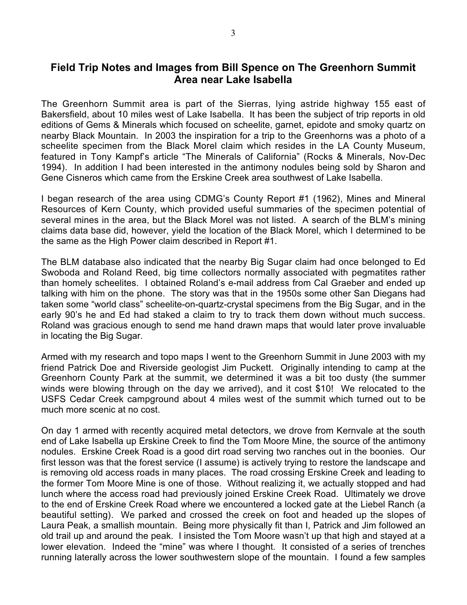### **Field Trip Notes and Images from Bill Spence on The Greenhorn Summit Area near Lake Isabella**

The Greenhorn Summit area is part of the Sierras, lying astride highway 155 east of Bakersfield, about 10 miles west of Lake Isabella. It has been the subject of trip reports in old editions of Gems & Minerals which focused on scheelite, garnet, epidote and smoky quartz on nearby Black Mountain. In 2003 the inspiration for a trip to the Greenhorns was a photo of a scheelite specimen from the Black Morel claim which resides in the LA County Museum, featured in Tony Kampf's article "The Minerals of California" (Rocks & Minerals, Nov-Dec 1994). In addition I had been interested in the antimony nodules being sold by Sharon and Gene Cisneros which came from the Erskine Creek area southwest of Lake Isabella.

I began research of the area using CDMG's County Report #1 (1962), Mines and Mineral Resources of Kern County, which provided useful summaries of the specimen potential of several mines in the area, but the Black Morel was not listed. A search of the BLM's mining claims data base did, however, yield the location of the Black Morel, which I determined to be the same as the High Power claim described in Report #1.

The BLM database also indicated that the nearby Big Sugar claim had once belonged to Ed Swoboda and Roland Reed, big time collectors normally associated with pegmatites rather than homely scheelites. I obtained Roland's e-mail address from Cal Graeber and ended up talking with him on the phone. The story was that in the 1950s some other San Diegans had taken some "world class" scheelite-on-quartz-crystal specimens from the Big Sugar, and in the early 90's he and Ed had staked a claim to try to track them down without much success. Roland was gracious enough to send me hand drawn maps that would later prove invaluable in locating the Big Sugar.

Armed with my research and topo maps I went to the Greenhorn Summit in June 2003 with my friend Patrick Doe and Riverside geologist Jim Puckett. Originally intending to camp at the Greenhorn County Park at the summit, we determined it was a bit too dusty (the summer winds were blowing through on the day we arrived), and it cost \$10! We relocated to the USFS Cedar Creek campground about 4 miles west of the summit which turned out to be much more scenic at no cost.

On day 1 armed with recently acquired metal detectors, we drove from Kernvale at the south end of Lake Isabella up Erskine Creek to find the Tom Moore Mine, the source of the antimony nodules. Erskine Creek Road is a good dirt road serving two ranches out in the boonies. Our first lesson was that the forest service (I assume) is actively trying to restore the landscape and is removing old access roads in many places. The road crossing Erskine Creek and leading to the former Tom Moore Mine is one of those. Without realizing it, we actually stopped and had lunch where the access road had previously joined Erskine Creek Road. Ultimately we drove to the end of Erskine Creek Road where we encountered a locked gate at the Liebel Ranch (a beautiful setting). We parked and crossed the creek on foot and headed up the slopes of Laura Peak, a smallish mountain. Being more physically fit than I, Patrick and Jim followed an old trail up and around the peak. I insisted the Tom Moore wasn't up that high and stayed at a lower elevation. Indeed the "mine" was where I thought. It consisted of a series of trenches running laterally across the lower southwestern slope of the mountain. I found a few samples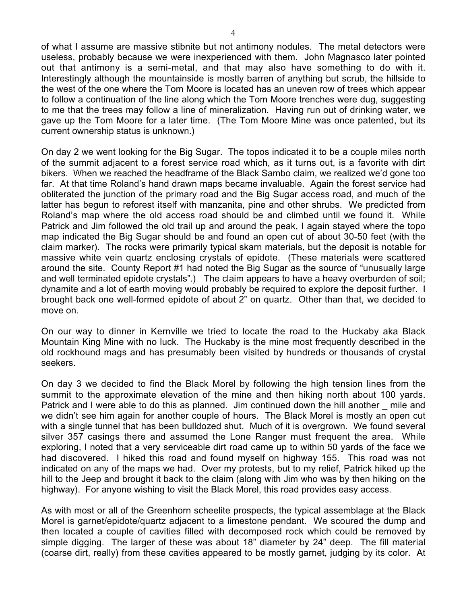of what I assume are massive stibnite but not antimony nodules. The metal detectors were useless, probably because we were inexperienced with them. John Magnasco later pointed out that antimony is a semi-metal, and that may also have something to do with it. Interestingly although the mountainside is mostly barren of anything but scrub, the hillside to the west of the one where the Tom Moore is located has an uneven row of trees which appear to follow a continuation of the line along which the Tom Moore trenches were dug, suggesting to me that the trees may follow a line of mineralization. Having run out of drinking water, we gave up the Tom Moore for a later time. (The Tom Moore Mine was once patented, but its current ownership status is unknown.)

On day 2 we went looking for the Big Sugar. The topos indicated it to be a couple miles north of the summit adjacent to a forest service road which, as it turns out, is a favorite with dirt bikers. When we reached the headframe of the Black Sambo claim, we realized we'd gone too far. At that time Roland's hand drawn maps became invaluable. Again the forest service had obliterated the junction of the primary road and the Big Sugar access road, and much of the latter has begun to reforest itself with manzanita, pine and other shrubs. We predicted from Roland's map where the old access road should be and climbed until we found it. While Patrick and Jim followed the old trail up and around the peak, I again stayed where the topo map indicated the Big Sugar should be and found an open cut of about 30-50 feet (with the claim marker). The rocks were primarily typical skarn materials, but the deposit is notable for massive white vein quartz enclosing crystals of epidote. (These materials were scattered around the site. County Report #1 had noted the Big Sugar as the source of "unusually large and well terminated epidote crystals".) The claim appears to have a heavy overburden of soil; dynamite and a lot of earth moving would probably be required to explore the deposit further. I brought back one well-formed epidote of about 2" on quartz. Other than that, we decided to move on.

On our way to dinner in Kernville we tried to locate the road to the Huckaby aka Black Mountain King Mine with no luck. The Huckaby is the mine most frequently described in the old rockhound mags and has presumably been visited by hundreds or thousands of crystal seekers.

On day 3 we decided to find the Black Morel by following the high tension lines from the summit to the approximate elevation of the mine and then hiking north about 100 yards. Patrick and I were able to do this as planned. Jim continued down the hill another emile and we didn't see him again for another couple of hours. The Black Morel is mostly an open cut with a single tunnel that has been bulldozed shut. Much of it is overgrown. We found several silver 357 casings there and assumed the Lone Ranger must frequent the area. While exploring, I noted that a very serviceable dirt road came up to within 50 yards of the face we had discovered. I hiked this road and found myself on highway 155. This road was not indicated on any of the maps we had. Over my protests, but to my relief, Patrick hiked up the hill to the Jeep and brought it back to the claim (along with Jim who was by then hiking on the highway). For anyone wishing to visit the Black Morel, this road provides easy access.

As with most or all of the Greenhorn scheelite prospects, the typical assemblage at the Black Morel is garnet/epidote/quartz adjacent to a limestone pendant. We scoured the dump and then located a couple of cavities filled with decomposed rock which could be removed by simple digging. The larger of these was about 18" diameter by 24" deep. The fill material (coarse dirt, really) from these cavities appeared to be mostly garnet, judging by its color. At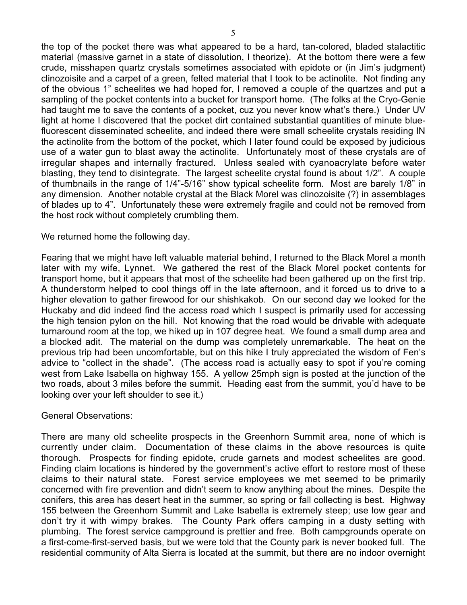the top of the pocket there was what appeared to be a hard, tan-colored, bladed stalactitic material (massive garnet in a state of dissolution, I theorize). At the bottom there were a few crude, misshapen quartz crystals sometimes associated with epidote or (in Jim's judgment) clinozoisite and a carpet of a green, felted material that I took to be actinolite. Not finding any of the obvious 1" scheelites we had hoped for, I removed a couple of the quartzes and put a sampling of the pocket contents into a bucket for transport home. (The folks at the Cryo-Genie had taught me to save the contents of a pocket, cuz you never know what's there.) Under UV light at home I discovered that the pocket dirt contained substantial quantities of minute bluefluorescent disseminated scheelite, and indeed there were small scheelite crystals residing IN the actinolite from the bottom of the pocket, which I later found could be exposed by judicious use of a water gun to blast away the actinolite. Unfortunately most of these crystals are of irregular shapes and internally fractured. Unless sealed with cyanoacrylate before water blasting, they tend to disintegrate. The largest scheelite crystal found is about 1/2". A couple of thumbnails in the range of 1/4"-5/16" show typical scheelite form. Most are barely 1/8" in any dimension. Another notable crystal at the Black Morel was clinozoisite (?) in assemblages of blades up to 4". Unfortunately these were extremely fragile and could not be removed from the host rock without completely crumbling them.

#### We returned home the following day.

Fearing that we might have left valuable material behind, I returned to the Black Morel a month later with my wife, Lynnet. We gathered the rest of the Black Morel pocket contents for transport home, but it appears that most of the scheelite had been gathered up on the first trip. A thunderstorm helped to cool things off in the late afternoon, and it forced us to drive to a higher elevation to gather firewood for our shishkakob. On our second day we looked for the Huckaby and did indeed find the access road which I suspect is primarily used for accessing the high tension pylon on the hill. Not knowing that the road would be drivable with adequate turnaround room at the top, we hiked up in 107 degree heat. We found a small dump area and a blocked adit. The material on the dump was completely unremarkable. The heat on the previous trip had been uncomfortable, but on this hike I truly appreciated the wisdom of Fen's advice to "collect in the shade". (The access road is actually easy to spot if you're coming west from Lake Isabella on highway 155. A yellow 25mph sign is posted at the junction of the two roads, about 3 miles before the summit. Heading east from the summit, you'd have to be looking over your left shoulder to see it.)

#### General Observations:

There are many old scheelite prospects in the Greenhorn Summit area, none of which is currently under claim. Documentation of these claims in the above resources is quite thorough. Prospects for finding epidote, crude garnets and modest scheelites are good. Finding claim locations is hindered by the government's active effort to restore most of these claims to their natural state. Forest service employees we met seemed to be primarily concerned with fire prevention and didn't seem to know anything about the mines. Despite the conifers, this area has desert heat in the summer, so spring or fall collecting is best. Highway 155 between the Greenhorn Summit and Lake Isabella is extremely steep; use low gear and don't try it with wimpy brakes. The County Park offers camping in a dusty setting with plumbing. The forest service campground is prettier and free. Both campgrounds operate on a first-come-first-served basis, but we were told that the County park is never booked full. The residential community of Alta Sierra is located at the summit, but there are no indoor overnight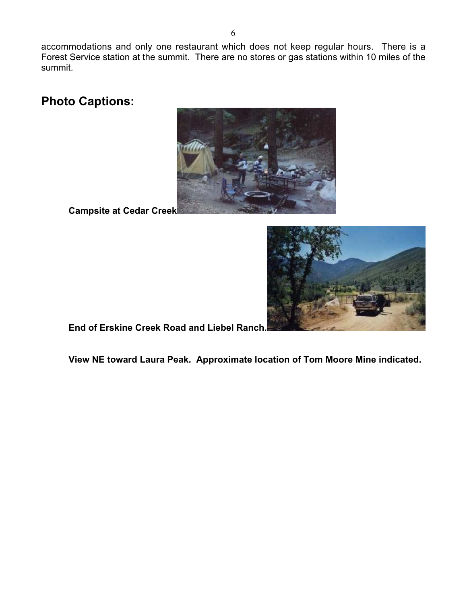accommodations and only one restaurant which does not keep regular hours. There is a Forest Service station at the summit. There are no stores or gas stations within 10 miles of the summit.

**Photo Captions:**



**Campsite at Cedar Creek**



**End of Erskine Creek Road and Liebel Ranch.**

**View NE toward Laura Peak. Approximate location of Tom Moore Mine indicated.**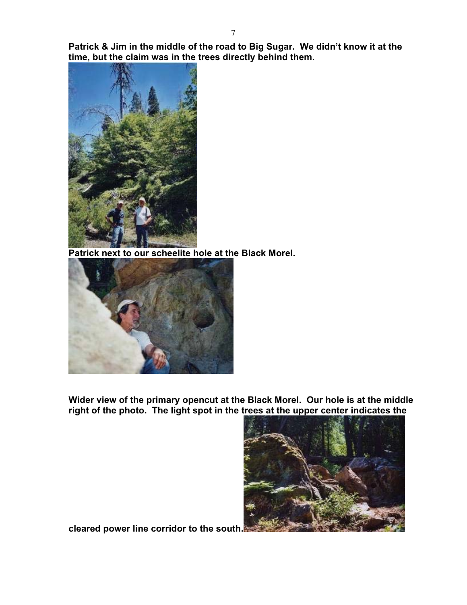**Patrick & Jim in the middle of the road to Big Sugar. We didn't know it at the time, but the claim was in the trees directly behind them.**



**Patrick next to our scheelite hole at the Black Morel.**



**Wider view of the primary opencut at the Black Morel. Our hole is at the middle right of the photo. The light spot in the trees at the upper center indicates the**



**cleared power line corridor to the south.**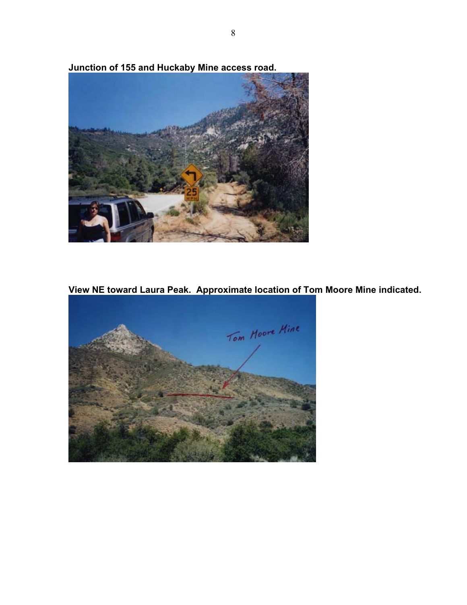**Junction of 155 and Huckaby Mine access road.**



**View NE toward Laura Peak. Approximate location of Tom Moore Mine indicated.**

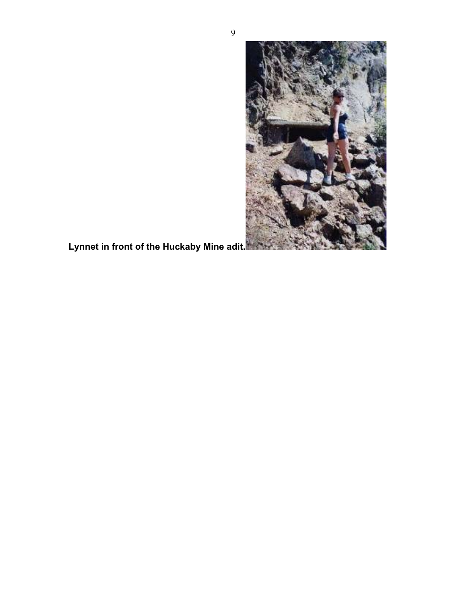

**Lynnet in front of the Huckaby Mine adit.**